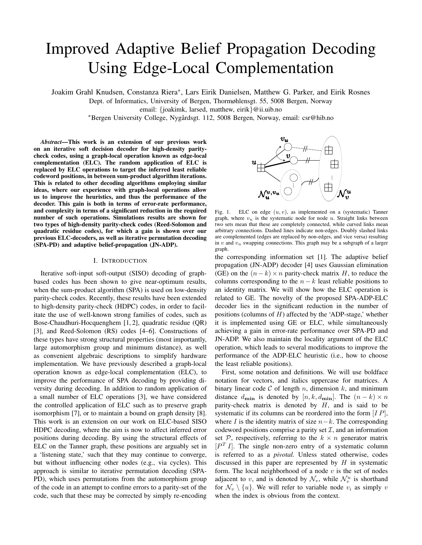# Improved Adaptive Belief Propagation Decoding Using Edge-Local Complementation

Joakim Grahl Knudsen, Constanza Riera<sup>∗</sup> , Lars Eirik Danielsen, Matthew G. Parker, and Eirik Rosnes

Dept. of Informatics, University of Bergen, Thormøhlensgt. 55, 5008 Bergen, Norway

email: {joakimk, larsed, matthew, eirik}@ii.uib.no

<sup>∗</sup>Bergen University College, Nygardsgt. 112, 5008 Bergen, Norway, email: csr@hib.no ˚

*Abstract***—This work is an extension of our previous work on an iterative soft decision decoder for high-density paritycheck codes, using a graph-local operation known as edge-local complementation (ELC). The random application of ELC is replaced by ELC operations to target the inferred least reliable codeword positions, in between sum-product algorithm iterations. This is related to other decoding algorithms employing similar ideas, where our experience with graph-local operations allow us to improve the heuristics, and thus the performance of the decoder. This gain is both in terms of error-rate performance, and complexity in terms of a significant reduction in the required number of such operations. Simulations results are shown for two types of high-density parity-check codes (Reed-Solomon and quadratic residue codes), for which a gain is shown over our previous ELC-decoders, as well as iterative permutation decoding (SPA-PD) and adaptive belief-propagation (JN-ADP).**

### I. INTRODUCTION

Iterative soft-input soft-output (SISO) decoding of graphbased codes has been shown to give near-optimum results, when the sum-product algorithm (SPA) is used on low-density parity-check codes. Recently, these results have been extended to high-density parity-check (HDPC) codes, in order to facilitate the use of well-known strong families of codes, such as Bose-Chaudhuri-Hocquenghem [1, 2], quadratic residue (QR) [3], and Reed-Solomon (RS) codes [4–6]. Constructions of these types have strong structural properties (most importantly, large automorphism group and minimum distance), as well as convenient algebraic descriptions to simplify hardware implementation. We have previously described a graph-local operation known as edge-local complementation (ELC), to improve the performance of SPA decoding by providing diversity during decoding. In addition to random application of a small number of ELC operations [3], we have considered the controlled application of ELC such as to preserve graph isomorphism [7], or to maintain a bound on graph density [8]. This work is an extension on our work on ELC-based SISO HDPC decoding, where the aim is now to affect inferred error positions during decoding. By using the structural effects of ELC on the Tanner graph, these positions are arguably set in a 'listening state,' such that they may continue to converge, but without influencing other nodes (e.g., via cycles). This approach is similar to iterative permutation decoding (SPA-PD), which uses permutations from the automorphism group of the code in an attempt to confine errors to a parity-set of the code, such that these may be corrected by simply re-encoding



Fig. 1. ELC on edge  $(u, v)$ , as implemented on a (systematic) Tanner graph, where  $v_u$  is the systematic node for node u. Straight links between two sets mean that these are completely connected, while curved links mean arbitrary connections. Dashed lines indicate non-edges. Doubly slashed links are complemented (edges are replaced by non-edges, and vice versa) resulting in  $v$  and  $v_u$  swapping connections. This graph may be a subgraph of a larger graph.

the corresponding information set [1]. The adaptive belief propagation (JN-ADP) decoder [4] uses Gaussian elimination (GE) on the  $(n - k) \times n$  parity-check matrix H, to reduce the columns corresponding to the  $n - k$  least reliable positions to an identity matrix. We will show how the ELC operation is related to GE. The novelty of the proposed SPA-ADP-ELC decoder lies in the significant reduction in the number of positions (columns of  $H$ ) affected by the 'ADP-stage,' whether it is implemented using GE or ELC, while simultaneously achieving a gain in error-rate performance over SPA-PD and JN-ADP. We also maintain the locality argument of the ELC operation, which leads to several modifications to improve the performance of the ADP-ELC heuristic (i.e., how to choose the least reliable positions).

First, some notation and definitions. We will use boldface notation for vectors, and italics uppercase for matrices. A binary linear code  $C$  of length n, dimension k, and minimum distance  $d_{\text{min}}$  is denoted by  $[n, k, d_{\text{min}}]$ . The  $(n - k) \times n$ parity-check matrix is denoted by  $H$ , and is said to be systematic if its columns can be reordered into the form  $[IP]$ , where I is the identity matrix of size  $n-k$ . The corresponding codeword positions comprise a parity set  $\mathcal{I}$ , and an information set P, respectively, referring to the  $k \times n$  generator matrix  $[P<sup>T</sup>I]$ . The single non-zero entry of a systematic column is referred to as a *pivotal.* Unless stated otherwise, codes discussed in this paper are represented by  $H$  in systematic form. The local neighborhood of a node  $v$  is the set of nodes adjacent to v, and is denoted by  $\mathcal{N}_v$ , while  $\mathcal{N}_v^u$  is shorthand for  $\mathcal{N}_v \setminus \{u\}$ . We will refer to variable node  $v_i$  as simply v when the index is obvious from the context.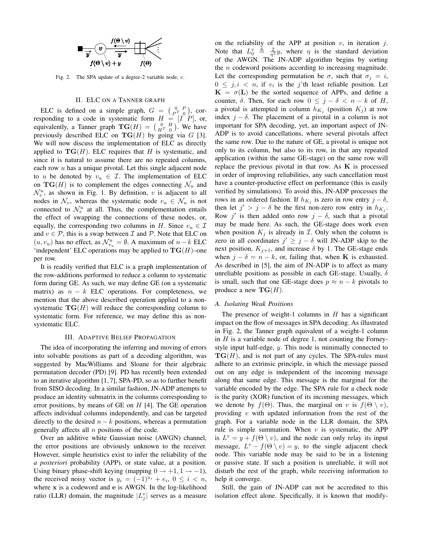

Fig. 2. The SPA update of a degree-2 variable node,  $v$ .

## II. ELC ON A TANNER GRAPH

ELC is defined on a simple graph,  $G = \begin{pmatrix} 0 & P \\ P^T & 0 \end{pmatrix}$ , cor-ELC is defined on a simple graph,  $G = \begin{pmatrix} p^T & 0 \end{pmatrix}$ , corresponding to a code in systematic form  $H = [I \ P]$ , or, equivalently, a Tanner graph  $\mathbf{TG}(H) = \begin{pmatrix} 0 & H \\ H^T & 0 \end{pmatrix}$ . We have previously described ELC on  $TG(H)$  by going via G [3]. We will now discuss the implementation of ELC as directly applied to  $TG(H)$ . ELC requires that H is systematic, and since it is natural to assume there are no repeated columns, each row  $u$  has a unique pivotal. Let this single adjacent node to u be denoted by  $v_u \in \mathcal{I}$ . The implementation of ELC on  $TG(H)$  is to complement the edges connecting  $\mathcal{N}_u$  and  $\mathcal{N}_v^u$ , as shown in Fig. 1. By definition, v is adjacent to all nodes in  $\mathcal{N}_v$ , whereas the systematic node  $v_u \in \mathcal{N}_u$  is not connected to  $\mathcal{N}_v^u$  at all. Thus, the complementation entails the effect of swapping the connections of these nodes, or, equally, the corresponding two columns in H. Since  $v_u \in \mathcal{I}$ and  $v \in \mathcal{P}$ , this is a swap between  $\mathcal I$  and  $\mathcal P$ . Note that ELC on  $(u, v_u)$  has no effect, as  $\mathcal{N}_{v_u}^u = \emptyset$ . A maximum of  $n - k$  ELC 'independent' ELC operations may be applied to  $TG(H)$ –one per row.

It is readily verified that ELC is a graph implementation of the row-additions performed to reduce a column to systematic form during GE. As such, we may define GE (on a systematic matrix) as  $n - k$  ELC operations. For completeness, we mention that the above described operation applied to a nonsystematic  $TG(H)$  will reduce the corresponding column to systematic form. For reference, we may define this as nonsystematic ELC.

### III. ADAPTIVE BELIEF PROPAGATION

The idea of incorporating the inferring and moving of errors into solvable positions as part of a decoding algorithm, was suggested by MacWilliams and Sloane for their algebraic permutation decoder (PD) [9]. PD has recently been extended to an iterative algorithm [1, 7], SPA-PD, so as to further benefit from SISO decoding. In a similar fashion, JN-ADP attempts to produce an identity submatrix in the columns corresponding to error positions, by means of GE on  $H$  [4]. The GE operation affects individual columns independently, and can be targeted directly to the desired  $n - k$  positions, whereas a permutation generally affects all  $n$  positions of the code.

Over an additive white Gaussian noise (AWGN) channel, the error positions are obviously unknown to the receiver. However, simple heuristics exist to infer the reliability of the *a posteriori* probability (APP), or state value, at a position. Using binary phase-shift keying (mapping  $0 \rightarrow +1, 1 \rightarrow -1$ ), the received noisy vector is  $y_i = (-1)^{x_i} + e_i$ ,  $0 \le i < n$ , where x is a codeword and e is AWGN. In the log-likelihood ratio (LLR) domain, the magnitude  $|L_j^v|$  serves as a measure

on the reliability of the APP at position  $v$ , in iteration  $j$ . Note that  $L_0^v \triangleq \frac{2}{\eta^2} y$ , where  $\eta$  is the standard deviation of the AWGN. The JN-ADP algorithm begins by sorting the  $n$  codeword positions according to increasing magnitude. Let the corresponding permutation be  $\sigma$ , such that  $\sigma_j = i$ ,  $0 \leq j, i \leq n$ , if  $v_i$  is the j'th least reliable position. Let  $K = \sigma(L)$  be the sorted sequence of APPs, and define a counter,  $\delta$ . Then, for each row  $0 \leq j - \delta < n - k$  of H, a pivotal is attempted in column  $h_{K_j}$  (position  $K_j$ ) at row index  $j - \delta$ . The placement of a pivotal in a column is not important for SPA decoding, yet, an important aspect of JN-ADP is to avoid cancellations, where several pivotals affect the same row. Due to the nature of GE, a pivotal is unique not only to its column, but also to its row, in that any repeated application (within the same GE-stage) on the same row will replace the previous pivotal in that row. As  $K$  is processed in order of improving reliabilities, any such cancellation must have a counter-productive effect on performance (this is easily verified by simulations). To avoid this, JN-ADP processes the rows in an ordered fashion. If  $h_{K_j}$  is zero in row entry  $j - \delta$ , then let  $j' > j - \delta$  be the first non-zero row entry in  $h_{K_j}$ . Row j' is then added onto row  $j - \delta$ , such that a pivotal may be made here. As such, the GE-stage does work even when position  $K_j$  is already in  $\mathcal I$ . Only when the column is zero in all coordinates  $j' \ge j - \delta$  will JN-ADP skip to the next position,  $K_{j+1}$ , and increase  $\delta$  by 1. The GE-stage ends when  $j - \delta = n - k$ , or, failing that, when **K** is exhausted. As described in [5], the aim of JN-ADP is to affect as many unreliable positions as possible in each GE-stage. Usually,  $\delta$ is small, such that one GE-stage does  $p \approx n - k$  pivotals to produce a new  $\mathbf{TG}(H)$ .

# *A. Isolating Weak Positions*

The presence of weight-1 columns in  $H$  has a significant impact on the flow of messages in SPA decoding. As illustrated in Fig. 2, the Tanner graph equivalent of a weight-1 column in  $H$  is a variable node of degree 1, not counting the Forneystyle input half-edge, y. This node is minimally connected to  $TG(H)$ , and is not part of any cycles. The SPA-rules must adhere to an extrinsic principle, in which the message passed out on any edge is independent of the incoming message along that same edge. This message is the marginal for the variable encoded by the edge. The SPA rule for a check node is the parity (XOR) function of its incoming messages, which we denote by  $f(\Theta)$ . Thus, the marginal on v is  $f(\Theta \setminus v)$ , providing  $v$  with updated information from the rest of the graph. For a variable node in the LLR domain, the SPA rule is simple summation. When  $v$  is systematic, the APP is  $L^v = y + f(\Theta \setminus v)$ , and the node can only relay its input message,  $L^v - f(\Theta \setminus v) = y$ , to the single adjacent check node. This variable node may be said to be in a listening or passive state. If such a position is unreliable, it will not disturb the rest of the graph, while receiving information to help it converge.

Still, the gain of JN-ADP can not be accredited to this isolation effect alone. Specifically, it is known that modify-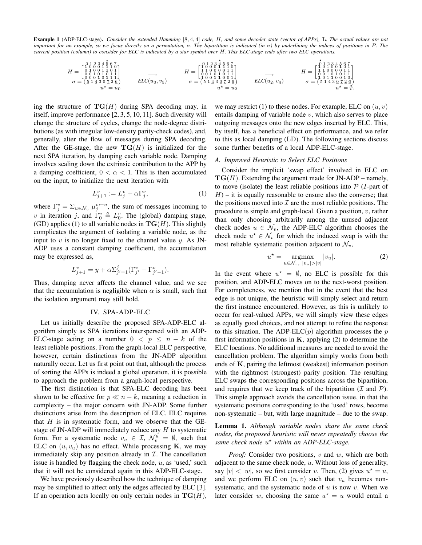**Example 1** (ADP-ELC-stage)**.** *Consider the extended Hamming* [8, 4, 4] *code,* H*, and some decoder state (vector of APPs),* L*. The actual values are not important for an example, so we focus directly on a permutation,* σ*. The bipartition is indicated (in* σ*) by underlining the indices of positions in* P*. The current position (column) to consider for ELC is indicated by a star symbol over* H*. This ELC-stage ends after two ELC operations.*

$$
H = \begin{bmatrix} 0 & 1 & 2 & 3 & 4 & 5 & 6 & 7 \\ 0 & 1 & 0 & 0 & 1 & 1 & 0 & 1 \\ 0 & 0 & 0 & 1 & 0 & 1 & 1 & 1 \\ 0 & 0 & 0 & 1 & 0 & 1 & 1 \\ 0 & 0 & 0 & 0 & 1 & 0 & 1 \\ 0 & 0 & 0 & 0 & 0 & 1 & 1 \end{bmatrix} \longrightarrow H = \begin{bmatrix} 0 & 1 & 2 & 3 & 4 & 5 & 6 & 7 \\ 1 & 1 & 0 & 0 & 0 & 1 & 1 \\ 1 & 1 & 0 & 0 & 0 & 0 & 1 & 1 \\ 0 & 0 & 0 & 1 & 0 & 1 & 1 \\ 0 & 0 & 0 & 1 & 0 & 1 & 1 \\ 0 & 0 & 1 & 0 & 0 & 1 & 1 \\ 0 & 0 & 0 & 1 & 0 & 1 & 1 \\ 0 & 0 & 0 & 1 & 0 & 1 & 1 \\ 0 & 0 & 0 & 1 & 0 & 1 & 1 \\ 0 & 0 & 0 & 1 & 0 & 1 & 1 \\ 0 & 0 & 0 & 1 & 0 & 1 & 1 \\ 0 & 0 & 0 & 0 & 0 & 1 & 1 \\ 0 & 0 & 0 & 0 & 0 & 1 & 1 \\ 0 & 0 & 0 & 0 & 0 & 1 & 1 \\ 0 & 0 & 0 & 0 & 0 & 1 & 1 \\ 0 & 0 & 0 & 0 & 0 & 1 & 1 \\ 0 & 0 & 0 & 0 & 0 & 0 & 1 \end{bmatrix} \longrightarrow H = \begin{bmatrix} 1 & 1 & 3 & 3 & 4 & 5 & 6 & 7 \\ 1 & 1 & 0 & 0 & 0 & 0 & 1 \\ 1 & 0 & 0 & 0 & 0 & 1 & 1 \\ 0 & 0 & 0 & 0 & 0 & 1 & 1 \\ 0 & 0 & 0 & 0 & 0 & 1 & 1 \\ 0 & 0 & 0 & 0 & 0 & 0 & 1 \\ 0 & 0 & 0 & 0 & 0 & 0 & 1 \end{bmatrix}
$$

$$
\sigma = \begin{pmatrix} 5 & 1 & 2 & 3 & 4 & 5 & 6 & 7 \\ 1 & 1 & 0 & 0 & 0 & 0 & 1 \\ 0 & 0 & 1
$$

ing the structure of  $TG(H)$  during SPA decoding may, in itself, improve performance [2, 3, 5, 10, 11]. Such diversity will change the structure of cycles, change the node-degree distributions (as with irregular low-density parity-check codes), and, generally, alter the flow of messages during SPA decoding. After the GE-stage, the new  $TG(H)$  is initialized for the next SPA iteration, by damping each variable node. Damping involves scaling down the extrinsic contribution to the APP by a damping coefficient,  $0 < \alpha < 1$ . This is then accumulated on the input, to initialize the next iteration with

$$
L_{j+1}^v := L_j^v + \alpha \Gamma_j^v,\tag{1}
$$

where  $\Gamma_j^v = \sum_{u \in \mathcal{N}_v} \mu_j^{v \leftarrow u}$ , the sum of messages incoming to v in iteration j, and  $\Gamma_0^v \triangleq L_0^v$ . The (global) damping stage, (GD) applies (1) to all variable nodes in  $TG(H)$ . This slightly complicates the argument of isolating a variable node, as the input to  $v$  is no longer fixed to the channel value  $y$ . As JN-ADP uses a constant damping coefficient, the accumulation may be expressed as,

$$
L_{j+1}^v = y + \alpha \Sigma_{j'=1}^j (\Gamma_{j'}^v - \Gamma_{j'-1}^v).
$$

Thus, damping never affects the channel value, and we see that the accumulation is negligible when  $\alpha$  is small, such that the isolation argument may still hold.

## IV. SPA-ADP-ELC

Let us initially describe the proposed SPA-ADP-ELC algorithm simply as SPA iterations interspersed with an ADP-ELC-stage acting on a number  $0 \le p \le n - k$  of the least reliable positions. From the graph-local ELC perspective, however, certain distinctions from the JN-ADP algorithm naturally occur. Let us first point out that, although the process of sorting the APPs is indeed a global operation, it is possible to approach the problem from a graph-local perspective.

The first distinction is that SPA-ELC decoding has been shown to be effective for  $p \ll n - k$ , meaning a reduction in complexity – the major concern with JN-ADP. Some further distinctions arise from the description of ELC. ELC requires that  $H$  is in systematic form, and we observe that the GEstage of JN-ADP will immediately reduce any  $H$  to systematic form. For a systematic node  $v_u \in \mathcal{I}, \mathcal{N}_v^u = \emptyset$ , such that ELC on  $(u, v_u)$  has no effect. While processing K, we may immediately skip any position already in  $I$ . The cancellation issue is handled by flagging the check node,  $u$ , as 'used,' such that it will not be considered again in this ADP-ELC-stage.

We have previously described how the technique of damping may be simplified to affect only the edges affected by ELC [3]. If an operation acts locally on only certain nodes in  $TG(H)$ ,

we may restrict (1) to these nodes. For example, ELC on  $(u, v)$ entails damping of variable node  $v$ , which also serves to place outgoing messages onto the new edges inserted by ELC. This, by itself, has a beneficial effect on performance, and we refer to this as local damping (LD). The following sections discuss some further benefits of a local ADP-ELC-stage.

–

## *A. Improved Heuristic to Select ELC Positions*

Consider the implicit 'swap effect' involved in ELC on  $TG(H)$ . Extending the argument made for JN-ADP – namely, to move (isolate) the least reliable positions into  $P(T$ -part of  $H$ ) – it is equally reasonable to ensure also the converse; that the positions moved into  $\mathcal I$  are the most reliable positions. The procedure is simple and graph-local. Given a position,  $v$ , rather than only choosing arbitrarily among the unused adjacent check nodes  $u \in \mathcal{N}_v$ , the ADP-ELC algorithm chooses the check node  $u^* \in \mathcal{N}_v$  for which the induced swap is with the most reliable systematic position adjacent to  $\mathcal{N}_v$ ,

$$
u^* = \underset{u \in \mathcal{N}_v, \ |v_u| > |v|}{\operatorname{argmax}} |v_u|. \tag{2}
$$

In the event where  $u^* = \emptyset$ , no ELC is possible for this position, and ADP-ELC moves on to the next-worst position. For completeness, we mention that in the event that the best edge is not unique, the heuristic will simply select and return the first instance encountered. However, as this is unlikely to occur for real-valued APPs, we will simply view these edges as equally good choices, and not attempt to refine the response to this situation. The ADP-ELC(p) algorithm processes the p first information positions in  $K$ , applying (2) to determine the ELC locations. No additional measures are needed to avoid the cancellation problem. The algorithm simply works from both ends of K, pairing the leftmost (weakest) information position with the rightmost (strongest) parity position. The resulting ELC swaps the corresponding positions across the bipartition, and requires that we keep track of the bipartition ( $I$  and  $P$ ). This simple approach avoids the cancellation issue, in that the systematic positions corresponding to the 'used' rows, become non-systematic – but, with large magnitude – due to the swap.

**Lemma 1.** *Although variable nodes share the same check nodes, the proposed heuristic will never repeatedly choose the* same check node  $u^*$  within an ADP-ELC-stage.

*Proof:* Consider two positions, v and w, which are both adjacent to the same check node, u. Without loss of generality, say  $|v| < |w|$ , so we first consider v. Then, (2) gives  $u^* = u$ , and we perform ELC on  $(u, v)$  such that  $v<sub>u</sub>$  becomes nonsystematic, and the systematic node of  $u$  is now  $v$ . When we later consider w, choosing the same  $u^* = u$  would entail a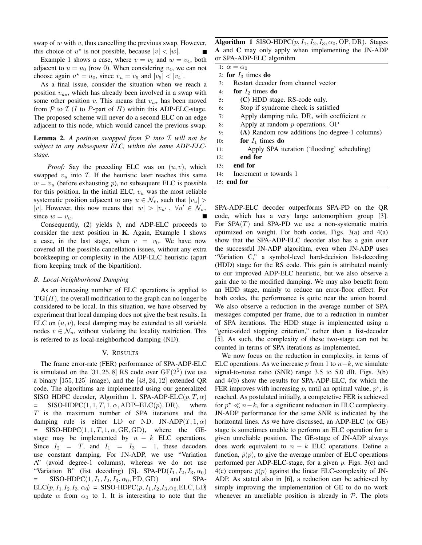swap of  $w$  with  $v$ , thus cancelling the previous swap. However, this choice of  $u^*$  is not possible, because  $|v| < |w|$ .

Example 1 shows a case, where  $v = v_5$  and  $w = v_4$ , both adjacent to  $u = u_0$  (row 0). When considering  $v_4$ , we can not choose again  $u^* = u_0$ , since  $v_u = v_5$  and  $|v_5| < |v_4|$ .

As a final issue, consider the situation when we reach a position  $v_{u\star}$ , which has already been involved in a swap with some other position v. This means that  $v_{u\star}$  has been moved from  $P$  to  $I$  (I to P-part of H) within this ADP-ELC-stage. The proposed scheme will never do a second ELC on an edge adjacent to this node, which would cancel the previous swap.

**Lemma 2.** *A position swapped from* P *into* I *will not be subject to any subsequent ELC, within the same ADP-ELCstage.*

*Proof:* Say the preceding ELC was on  $(u, v)$ , which swapped  $v_u$  into  $\mathcal{I}$ . If the heuristic later reaches this same  $w = v_u$  (before exhausting p), no subsequent ELC is possible for this position. In the initial ELC,  $v<sub>u</sub>$  was the most reliable systematic position adjacent to any  $u \in \mathcal{N}_v$ , such that  $|v_u|$ |v|. However, this now means that  $|w| > |v_{u'}|$ ,  $\forall u' \in \mathcal{N}_w$ , since  $w = v_u$ .

Consequently, (2) yields  $\emptyset$ , and ADP-ELC proceeds to consider the next position in  $K$ . Again, Example 1 shows a case, in the last stage, when  $v = v_0$ . We have now covered all the possible cancellation issues, without any extra bookkeeping or complexity in the ADP-ELC heuristic (apart from keeping track of the bipartition).

# *B. Local-Neighborhood Damping*

As an increasing number of ELC operations is applied to  $TG(H)$ , the overall modification to the graph can no longer be considered to be local. In this situation, we have observed by experiment that local damping does not give the best results. In ELC on  $(u, v)$ , local damping may be extended to all variable nodes  $v \in \mathcal{N}_u$ , without violating the locality restriction. This is referred to as local-neighborhood damping (ND).

# V. RESULTS

The frame error-rate (FER) performance of SPA-ADP-ELC is simulated on the [31, 25, 8] RS code over  $GF(2^5)$  (we use a binary  $[155, 125]$  image), and the  $[48, 24, 12]$  extended QR code. The algorithms are implemented using our generalized SISO HDPC decoder, Algorithm 1. SPA-ADP-ELC $(p, T, \alpha)$  $=$  SISO-HDPC(1, 1, T, 1,  $\alpha$ , ADP–ELC(p), DR), where T is the maximum number of SPA iterations and the damping rule is either LD or ND. JN-ADP $(T, 1, \alpha)$  $=$  SISO-HDPC(1, 1, T, 1,  $\alpha$ , GE, GD), where the GEstage may be implemented by  $n - k$  ELC operations. Since  $I_2 = T$ , and  $I_1 = I_3 = 1$ , these decoders use constant damping. For JN-ADP, we use "Variation A" (avoid degree-1 columns), whereas we do not use "Variation B" (list decoding) [5]. SPA-PD $(I_1, I_2, I_3, \alpha_0)$  $=$  SISO-HDPC $(1, I_1, I_2, I_3, \alpha_0, \text{PD}, \text{GD})$  and SPA- $ELC(p, I_1, I_2, I_3, \alpha_0) =$ SISO-HDPC $(p, I_1, I_2, I_3, \alpha_0, ELC, LD)$ update  $\alpha$  from  $\alpha_0$  to 1. It is interesting to note that the **Algorithm 1** SISO-HDPC $(p, I_1, I_2, I_3, \alpha_0, \text{OP}, \text{DR})$ . Stages **A** and **C** may only apply when implementing the JN-ADP or SPA-ADP-ELC algorithm

- 1:  $\alpha = \alpha_0$ 2: **for**  $I_3$  times **do**
- 
- 3: Restart decoder from channel vector
- 4: **for**  $I_2$  times **do**
- 5: **(C)** HDD stage. RS-code only.
- 6: Stop if syndrome check is satisfied
- 7: Apply damping rule, DR, with coefficient  $\alpha$
- 8: Apply at random p operations, OP
- 9: **(A)** Random row additions (no degree-1 columns)
- 10: **for**  $I_1$  times **do**
- 11: Apply SPA iteration ('flooding' scheduling)
- 12: **end for**
- 13: **end for**
- 14: Increment  $\alpha$  towards 1
- 15: **end for**

SPA-ADP-ELC decoder outperforms SPA-PD on the QR code, which has a very large automorphism group [3]. For  $SPA(T)$  and  $SPA-PD$  we use a non-systematic matrix optimized on weight. For both codes, Figs.  $3(a)$  and  $4(a)$ show that the SPA-ADP-ELC decoder also has a gain over the successful JN-ADP algorithm, even when JN-ADP uses "Variation C," a symbol-level hard-decision list-decoding (HDD) stage for the RS code. This gain is attributed mainly to our improved ADP-ELC heuristic, but we also observe a gain due to the modified damping. We may also benefit from an HDD stage, mainly to reduce an error-floor effect. For both codes, the performance is quite near the union bound. We also observe a reduction in the average number of SPA messages computed per frame, due to a reduction in number of SPA iterations. The HDD stage is implemented using a "genie-aided stopping criterion," rather than a list-decoder [5]. As such, the complexity of these two-stage can not be counted in terms of SPA iterations as implemented.

We now focus on the reduction in complexity, in terms of ELC operations. As we increase p from 1 to  $n-k$ , we simulate signal-to-noise ratio (SNR) range 3.5 to 5.0 dB. Figs. 3(b) and 4(b) show the results for SPA-ADP-ELC, for which the FER improves with increasing  $p$ , until an optimal value,  $p^*$ , is reached. As postulated initially, a competetive FER is achieved for  $p^* \ll n-k$ , for a significant reduction in ELC complexity. JN-ADP performance for the same SNR is indicated by the horizontal lines. As we have discussed, an ADP-ELC (or GE) stage is sometimes unable to perform an ELC operation for a given unreliable position. The GE-stage of JN-ADP always does work equivalent to  $n - k$  ELC operations. Define a function,  $\bar{p}(p)$ , to give the average number of ELC operations performed per ADP-ELC-stage, for a given  $p$ . Figs. 3(c) and 4(c) compare  $\bar{p}(p)$  against the linear ELC-complexity of JN-ADP. As stated also in [6], a reduction can be achieved by simply improving the implementation of GE to do no work whenever an unreliable position is already in  $P$ . The plots